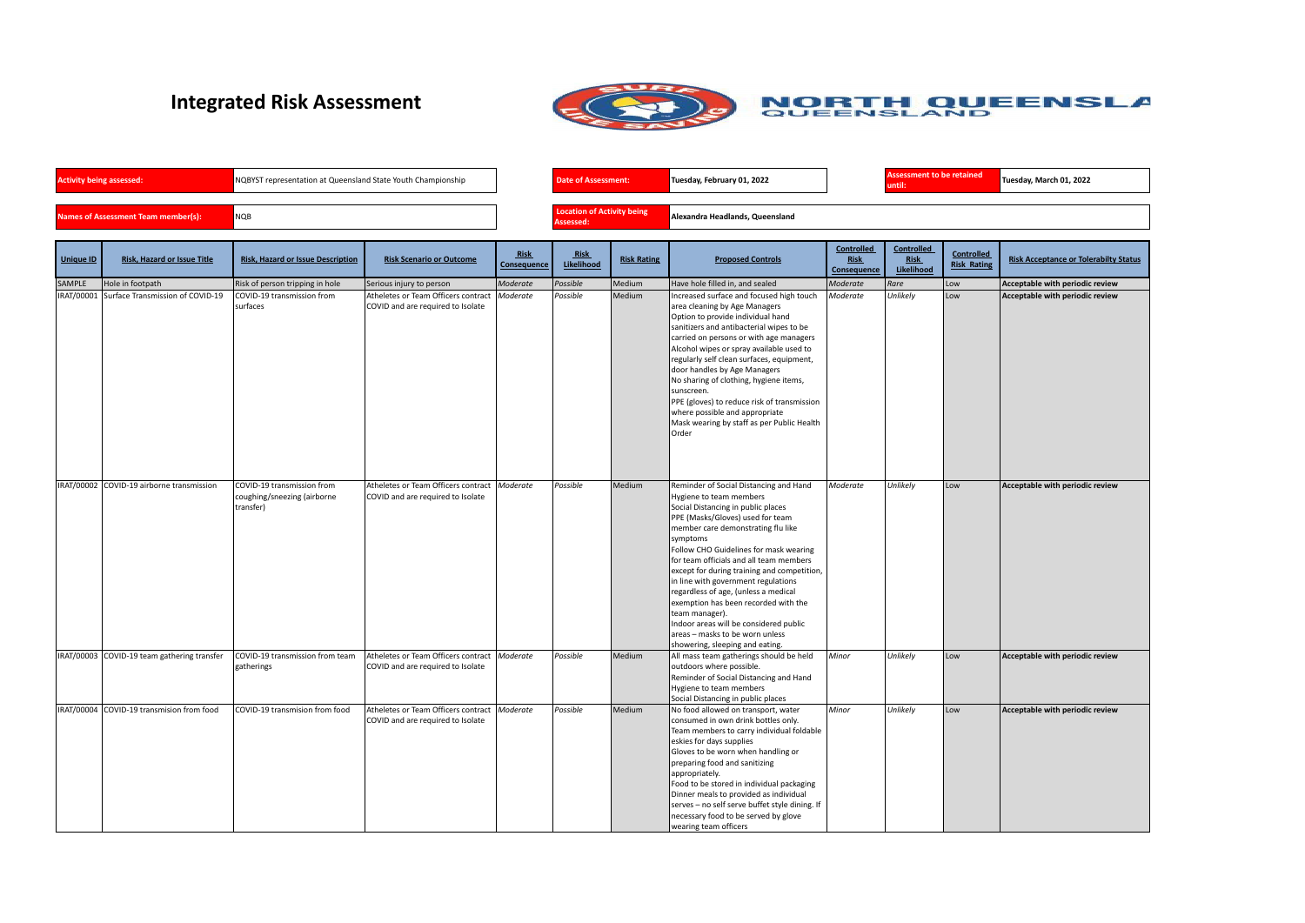## **Integrated Risk Assessment**



| <b>Activity being assessed:</b>     | NQBYST representation at Queensland State Youth Championship | <b>Date of Assessment:</b> |                            | Tuesday, February 01, 2022      | <b>Assessment to be retained</b><br>until: |  |
|-------------------------------------|--------------------------------------------------------------|----------------------------|----------------------------|---------------------------------|--------------------------------------------|--|
| Names of Assessment Team member(s): | <b>NOB</b>                                                   | Assessed:                  | Location of Activity being | Alexandra Headlands, Queensland |                                            |  |
|                                     |                                                              |                            |                            |                                 |                                            |  |

**until: Tuesday, March 01, 2022**

| <b>Unique ID</b> | <b>Risk, Hazard or Issue Title</b>          | <b>Risk, Hazard or Issue Description</b>                               | <b>Risk Scenario or Outcome</b>                                          | Risk<br><b>Consequence</b> | Risk<br>Likelihood | <b>Risk Rating</b> | <b>Proposed Controls</b>                                                                                                                                                                                                                                                                                                                                                                                                                                                                                                                                                                   | <b>Controlled</b><br><b>Risk</b><br>Consequence | <b>Controlled</b><br><b>Risk</b><br>Likelihood | <b>Controlled</b><br><b>Risk Rating</b> | <b>Risk Acceptance or Tolerabilty Status</b> |
|------------------|---------------------------------------------|------------------------------------------------------------------------|--------------------------------------------------------------------------|----------------------------|--------------------|--------------------|--------------------------------------------------------------------------------------------------------------------------------------------------------------------------------------------------------------------------------------------------------------------------------------------------------------------------------------------------------------------------------------------------------------------------------------------------------------------------------------------------------------------------------------------------------------------------------------------|-------------------------------------------------|------------------------------------------------|-----------------------------------------|----------------------------------------------|
| <b>SAMPLE</b>    | Hole in footpath                            | Risk of person tripping in hole                                        | Serious injury to person                                                 | Moderate                   | Possible           | Medium             | Have hole filled in, and sealed                                                                                                                                                                                                                                                                                                                                                                                                                                                                                                                                                            | Moderate                                        | Rare                                           | Low                                     | Acceptable with periodic review              |
| IRAT/00001       | Surface Transmission of COVID-19            | COVID-19 transmission from<br>surfaces                                 | Atheletes or Team Officers contract<br>COVID and are required to Isolate | Moderate                   | Possible           | Medium             | Increased surface and focused high touch<br>area cleaning by Age Managers<br>Option to provide individual hand<br>sanitizers and antibacterial wipes to be<br>carried on persons or with age managers<br>Alcohol wipes or spray available used to<br>regularly self clean surfaces, equipment,<br>door handles by Age Managers<br>No sharing of clothing, hygiene items,<br>sunscreen.<br>PPE (gloves) to reduce risk of transmission<br>where possible and appropriate<br>Mask wearing by staff as per Public Health<br>Order                                                             | Moderate                                        | Unlikely                                       | Low                                     | Acceptable with periodic review              |
|                  | IRAT/00002 COVID-19 airborne transmission   | COVID-19 transmission from<br>coughing/sneezing (airborne<br>transfer) | Atheletes or Team Officers contract<br>COVID and are required to Isolate | Moderate                   | Possible           | Medium             | Reminder of Social Distancing and Hand<br>Hygiene to team members<br>Social Distancing in public places<br>PPE (Masks/Gloves) used for team<br>member care demonstrating flu like<br>symptoms<br>Follow CHO Guidelines for mask wearing<br>for team officials and all team members<br>except for during training and competition,<br>in line with government regulations<br>regardless of age, (unless a medical<br>exemption has been recorded with the<br>team manager).<br>Indoor areas will be considered public<br>areas - masks to be worn unless<br>showering, sleeping and eating. | Moderate                                        | Unlikely                                       | Low                                     | Acceptable with periodic review              |
|                  | IRAT/00003 COVID-19 team gathering transfer | COVID-19 transmission from team<br>gatherings                          | Atheletes or Team Officers contract<br>COVID and are required to Isolate | Moderate                   | Possible           | Medium             | All mass team gatherings should be held<br>outdoors where possible.<br>Reminder of Social Distancing and Hand<br>Hygiene to team members<br>Social Distancing in public places                                                                                                                                                                                                                                                                                                                                                                                                             | Minor                                           | Unlikely                                       | Low                                     | Acceptable with periodic review              |
|                  | IRAT/00004 COVID-19 transmision from food   | COVID-19 transmision from food                                         | Atheletes or Team Officers contract<br>COVID and are required to Isolate | Moderate                   | Possible           | Medium             | No food allowed on transport, water<br>consumed in own drink bottles only.<br>Team members to carry individual foldable  <br>eskies for days supplies<br>Gloves to be worn when handling or<br>preparing food and sanitizing<br>appropriately.<br>Food to be stored in individual packaging<br>Dinner meals to provided as individual<br>serves - no self serve buffet style dining. If<br>necessary food to be served by glove<br>wearing team officers                                                                                                                                   | Minor                                           | Unlikely                                       | Low                                     | Acceptable with periodic review              |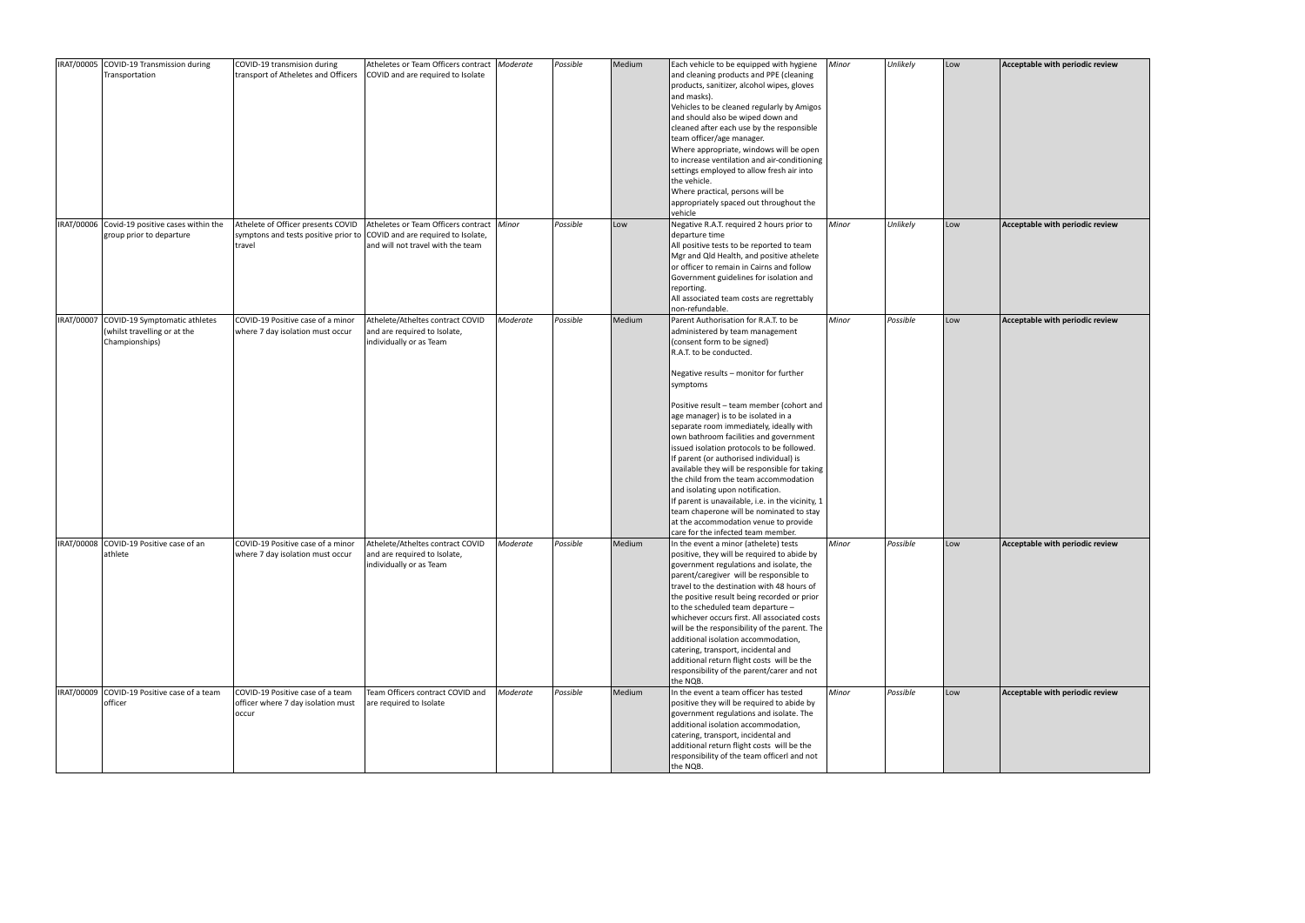| IRAT/00005 COVID-19 Transmission during                                                    | COVID-19 transmision during                                                       | Atheletes or Team Officers contract   Moderate                                                                        |          | Possible | Medium | Each vehicle to be equipped with hygiene                                                                                                                                                                                                                                                                                                                                                                                                                                                                                                                                                                                                                                                                                                                                 | Minor | Unlikely | Low | Acceptable with periodic review |
|--------------------------------------------------------------------------------------------|-----------------------------------------------------------------------------------|-----------------------------------------------------------------------------------------------------------------------|----------|----------|--------|--------------------------------------------------------------------------------------------------------------------------------------------------------------------------------------------------------------------------------------------------------------------------------------------------------------------------------------------------------------------------------------------------------------------------------------------------------------------------------------------------------------------------------------------------------------------------------------------------------------------------------------------------------------------------------------------------------------------------------------------------------------------------|-------|----------|-----|---------------------------------|
| Transportation                                                                             | transport of Atheletes and Officers                                               | COVID and are required to Isolate                                                                                     |          |          |        | and cleaning products and PPE (cleaning<br>products, sanitizer, alcohol wipes, gloves<br>and masks).<br>Vehicles to be cleaned regularly by Amigos<br>and should also be wiped down and<br>cleaned after each use by the responsible<br>team officer/age manager.<br>Where appropriate, windows will be open<br>to increase ventilation and air-conditioning<br>settings employed to allow fresh air into<br>the vehicle.<br>Where practical, persons will be<br>appropriately spaced out throughout the<br>vehicle                                                                                                                                                                                                                                                      |       |          |     |                                 |
| IRAT/00006 Covid-19 positive cases within the<br>group prior to departure                  | symptons and tests positive prior to COVID and are required to Isolate,<br>travel | Athelete of Officer presents COVID   Atheletes or Team Officers contract   Minor<br>and will not travel with the team |          | Possible | Low    | Negative R.A.T. required 2 hours prior to<br>departure time<br>All positive tests to be reported to team<br>Mgr and Qld Health, and positive athelete<br>or officer to remain in Cairns and follow<br>Government guidelines for isolation and<br>reporting.<br>All associated team costs are regrettably<br>non-refundable.                                                                                                                                                                                                                                                                                                                                                                                                                                              | Minor | Unlikely | Low | Acceptable with periodic review |
| IRAT/00007 COVID-19 Symptomatic athletes<br>(whilst travelling or at the<br>Championships) | COVID-19 Positive case of a minor<br>where 7 day isolation must occur             | Athelete/Atheltes contract COVID<br>and are required to Isolate,<br>individually or as Team                           | Moderate | Possible | Medium | Parent Authorisation for R.A.T. to be<br>administered by team management<br>(consent form to be signed)<br>R.A.T. to be conducted.<br>Negative results - monitor for further<br>symptoms<br>Positive result – team member (cohort and<br>age manager) is to be isolated in a<br>separate room immediately, ideally with<br>own bathroom facilities and government<br>issued isolation protocols to be followed.<br>If parent (or authorised individual) is<br>available they will be responsible for taking<br>the child from the team accommodation<br>and isolating upon notification.<br>If parent is unavailable, i.e. in the vicinity, 1<br>team chaperone will be nominated to stay<br>at the accommodation venue to provide<br>care for the infected team member. | Minor | Possible | Low | Acceptable with periodic review |
| IRAT/00008 COVID-19 Positive case of an<br>athlete                                         | COVID-19 Positive case of a minor<br>where 7 day isolation must occur             | Athelete/Atheltes contract COVID<br>and are required to Isolate,<br>individually or as Team                           | Moderate | Possible | Medium | In the event a minor (athelete) tests<br>positive, they will be required to abide by<br>government regulations and isolate, the<br>parent/caregiver will be responsible to<br>travel to the destination with 48 hours of<br>the positive result being recorded or prior<br>to the scheduled team departure -<br>whichever occurs first. All associated costs<br>will be the responsibility of the parent. The<br>additional isolation accommodation,<br>catering, transport, incidental and<br>additional return flight costs will be the<br>responsibility of the parent/carer and not<br>the NQB.                                                                                                                                                                      | Minor | Possible | Low | Acceptable with periodic review |
| IRAT/00009 COVID-19 Positive case of a team<br>officer                                     | COVID-19 Positive case of a team<br>officer where 7 day isolation must<br>occur   | Team Officers contract COVID and<br>are required to Isolate                                                           | Moderate | Possible | Medium | In the event a team officer has tested<br>positive they will be required to abide by<br>government regulations and isolate. The<br>additional isolation accommodation,<br>catering, transport, incidental and<br>additional return flight costs will be the<br>responsibility of the team officerl and not<br>the NQB.                                                                                                                                                                                                                                                                                                                                                                                                                                                   | Minor | Possible | Low | Acceptable with periodic review |

| Acceptable with periodic review |
|---------------------------------|
| Acceptable with periodic review |
| Acceptable with periodic review |
| Acceptable with periodic review |
| Acceptable with periodic review |